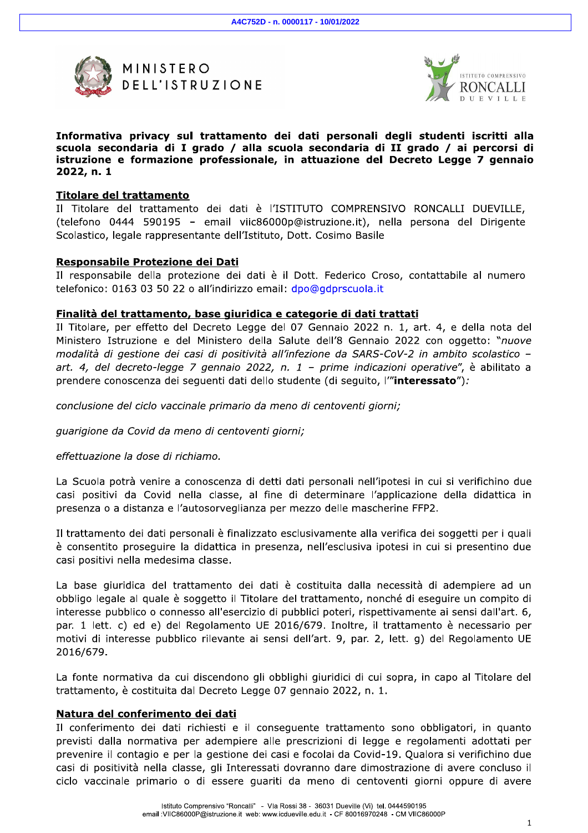

MINISTERO **DELL'ISTRUZIONE** 



## Informativa privacy sul trattamento dei dati personali degli studenti iscritti alla scuola secondaria di I grado / alla scuola secondaria di II grado / ai percorsi di istruzione e formazione professionale, in attuazione del Decreto Legge 7 gennaio 2022, n. 1

#### **Titolare del trattamento**

Il Titolare del trattamento dei dati è l'ISTITUTO COMPRENSIVO RONCALLI DUEVILLE, (telefono 0444 590195 - email viic86000p@istruzione.it), nella persona del Dirigente Scolastico, legale rappresentante dell'Istituto, Dott. Cosimo Basile

#### Responsabile Protezione dei Dati

Il responsabile della protezione dei dati è il Dott. Federico Croso, contattabile al numero telefonico: 0163 03 50 22 o all'indirizzo email: dpo@gdprscuola.it

#### Finalità del trattamento, base giuridica e categorie di dati trattati

Il Titolare, per effetto del Decreto Legge del 07 Gennaio 2022 n. 1, art. 4, e della nota del Ministero Istruzione e del Ministero della Salute dell'8 Gennaio 2022 con oggetto: "nuove modalità di gestione dei casi di positività all'infezione da SARS-CoV-2 in ambito scolastico art. 4, del decreto-legge 7 gennaio 2022, n. 1 - prime indicazioni operative", è abilitato a prendere conoscenza dei sequenti dati dello studente (di sequito, l'"interessato"):

conclusione del ciclo vaccinale primario da meno di centoventi giorni;

guarigione da Covid da meno di centoventi giorni;

effettuazione la dose di richiamo.

La Scuola potrà venire a conoscenza di detti dati personali nell'ipotesi in cui si verifichino due casi positivi da Covid nella classe, al fine di determinare l'applicazione della didattica in presenza o a distanza e l'autosorveglianza per mezzo delle mascherine FFP2.

Il trattamento dei dati personali è finalizzato esclusivamente alla verifica dei soggetti per i quali è consentito proseguire la didattica in presenza, nell'esclusiva ipotesi in cui si presentino due casi positivi nella medesima classe.

La base giuridica del trattamento dei dati è costituita dalla necessità di adempiere ad un obbligo legale al quale è soggetto il Titolare del trattamento, nonché di eseguire un compito di interesse pubblico o connesso all'esercizio di pubblici poteri, rispettivamente ai sensi dall'art. 6, par. 1 lett. c) ed e) del Regolamento UE 2016/679. Inoltre, il trattamento è necessario per motivi di interesse pubblico rilevante ai sensi dell'art. 9, par. 2, lett. q) del Regolamento UE 2016/679.

La fonte normativa da cui discendono gli obblighi giuridici di cui sopra, in capo al Titolare del trattamento, è costituita dal Decreto Legge 07 gennaio 2022, n. 1.

## Natura del conferimento dei dati

Il conferimento dei dati richiesti e il conseguente trattamento sono obbligatori, in quanto previsti dalla normativa per adempiere alle prescrizioni di legge e regolamenti adottati per prevenire il contagio e per la gestione dei casi e focolai da Covid-19. Qualora si verifichino due casi di positività nella classe, gli Interessati dovranno dare dimostrazione di avere concluso il ciclo vaccinale primario o di essere quariti da meno di centoventi giorni oppure di avere